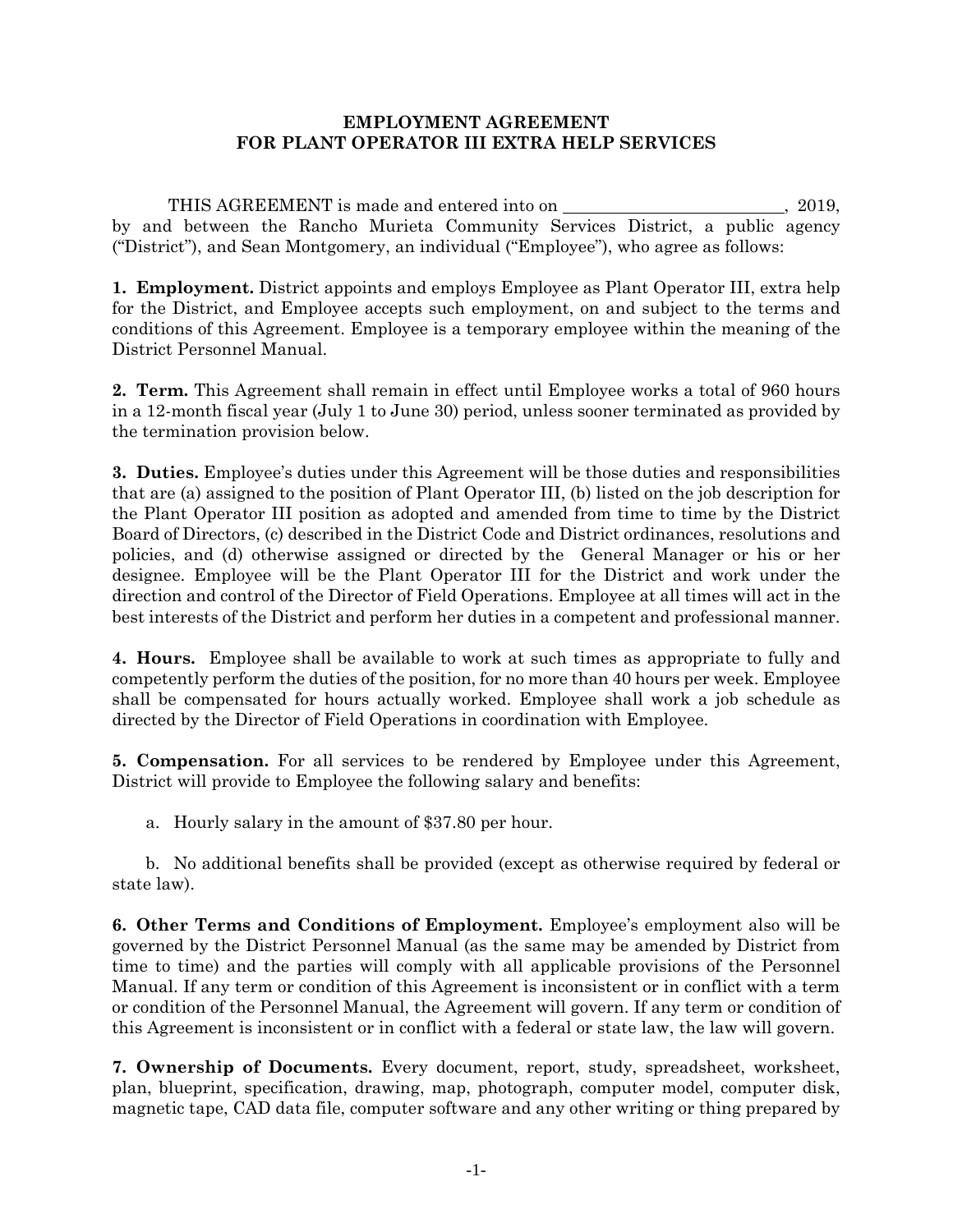## **EMPLOYMENT AGREEMENT FOR PLANT OPERATOR III EXTRA HELP SERVICES**

THIS AGREEMENT is made and entered into on  $\qquad \qquad .2019,$ by and between the Rancho Murieta Community Services District, a public agency ("District"), and Sean Montgomery, an individual ("Employee"), who agree as follows:

**1. Employment.** District appoints and employs Employee as Plant Operator III, extra help for the District, and Employee accepts such employment, on and subject to the terms and conditions of this Agreement. Employee is a temporary employee within the meaning of the District Personnel Manual.

**2. Term.** This Agreement shall remain in effect until Employee works a total of 960 hours in a 12-month fiscal year (July 1 to June 30) period, unless sooner terminated as provided by the termination provision below.

**3. Duties.** Employee's duties under this Agreement will be those duties and responsibilities that are (a) assigned to the position of Plant Operator III, (b) listed on the job description for the Plant Operator III position as adopted and amended from time to time by the District Board of Directors, (c) described in the District Code and District ordinances, resolutions and policies, and (d) otherwise assigned or directed by the General Manager or his or her designee. Employee will be the Plant Operator III for the District and work under the direction and control of the Director of Field Operations. Employee at all times will act in the best interests of the District and perform her duties in a competent and professional manner.

**4. Hours.** Employee shall be available to work at such times as appropriate to fully and competently perform the duties of the position, for no more than 40 hours per week. Employee shall be compensated for hours actually worked. Employee shall work a job schedule as directed by the Director of Field Operations in coordination with Employee.

**5. Compensation.** For all services to be rendered by Employee under this Agreement, District will provide to Employee the following salary and benefits:

a. Hourly salary in the amount of \$37.80 per hour.

b. No additional benefits shall be provided (except as otherwise required by federal or state law).

**6. Other Terms and Conditions of Employment.** Employee's employment also will be governed by the District Personnel Manual (as the same may be amended by District from time to time) and the parties will comply with all applicable provisions of the Personnel Manual. If any term or condition of this Agreement is inconsistent or in conflict with a term or condition of the Personnel Manual, the Agreement will govern. If any term or condition of this Agreement is inconsistent or in conflict with a federal or state law, the law will govern.

**7. Ownership of Documents.** Every document, report, study, spreadsheet, worksheet, plan, blueprint, specification, drawing, map, photograph, computer model, computer disk, magnetic tape, CAD data file, computer software and any other writing or thing prepared by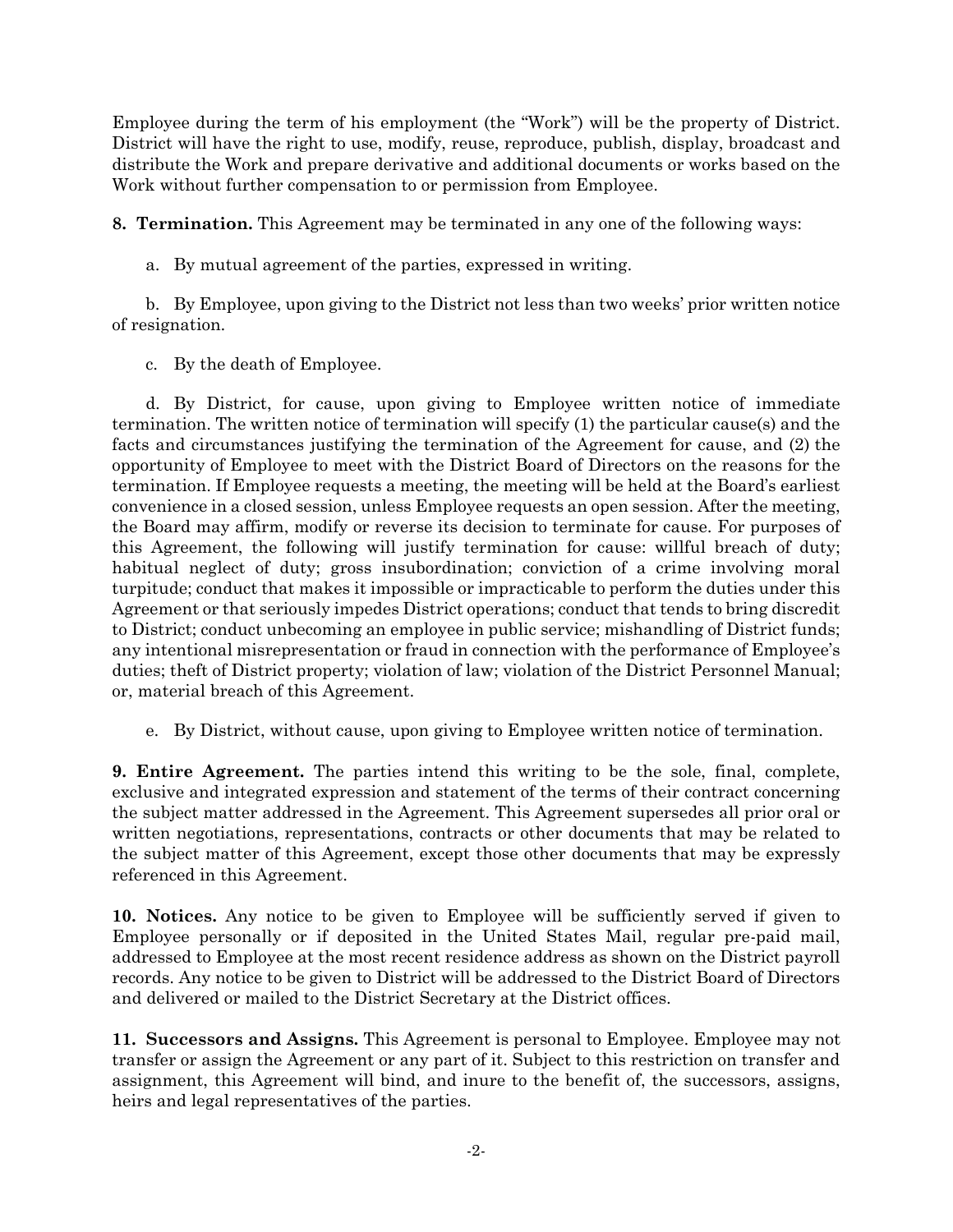Employee during the term of his employment (the "Work") will be the property of District. District will have the right to use, modify, reuse, reproduce, publish, display, broadcast and distribute the Work and prepare derivative and additional documents or works based on the Work without further compensation to or permission from Employee.

**8. Termination.** This Agreement may be terminated in any one of the following ways:

a. By mutual agreement of the parties, expressed in writing.

b. By Employee, upon giving to the District not less than two weeks' prior written notice of resignation.

c. By the death of Employee.

d. By District, for cause, upon giving to Employee written notice of immediate termination. The written notice of termination will specify (1) the particular cause(s) and the facts and circumstances justifying the termination of the Agreement for cause, and (2) the opportunity of Employee to meet with the District Board of Directors on the reasons for the termination. If Employee requests a meeting, the meeting will be held at the Board's earliest convenience in a closed session, unless Employee requests an open session. After the meeting, the Board may affirm, modify or reverse its decision to terminate for cause. For purposes of this Agreement, the following will justify termination for cause: willful breach of duty; habitual neglect of duty; gross insubordination; conviction of a crime involving moral turpitude; conduct that makes it impossible or impracticable to perform the duties under this Agreement or that seriously impedes District operations; conduct that tends to bring discredit to District; conduct unbecoming an employee in public service; mishandling of District funds; any intentional misrepresentation or fraud in connection with the performance of Employee's duties; theft of District property; violation of law; violation of the District Personnel Manual; or, material breach of this Agreement.

e. By District, without cause, upon giving to Employee written notice of termination.

**9. Entire Agreement.** The parties intend this writing to be the sole, final, complete, exclusive and integrated expression and statement of the terms of their contract concerning the subject matter addressed in the Agreement. This Agreement supersedes all prior oral or written negotiations, representations, contracts or other documents that may be related to the subject matter of this Agreement, except those other documents that may be expressly referenced in this Agreement.

**10. Notices.** Any notice to be given to Employee will be sufficiently served if given to Employee personally or if deposited in the United States Mail, regular pre-paid mail, addressed to Employee at the most recent residence address as shown on the District payroll records. Any notice to be given to District will be addressed to the District Board of Directors and delivered or mailed to the District Secretary at the District offices.

**11. Successors and Assigns.** This Agreement is personal to Employee. Employee may not transfer or assign the Agreement or any part of it. Subject to this restriction on transfer and assignment, this Agreement will bind, and inure to the benefit of, the successors, assigns, heirs and legal representatives of the parties.